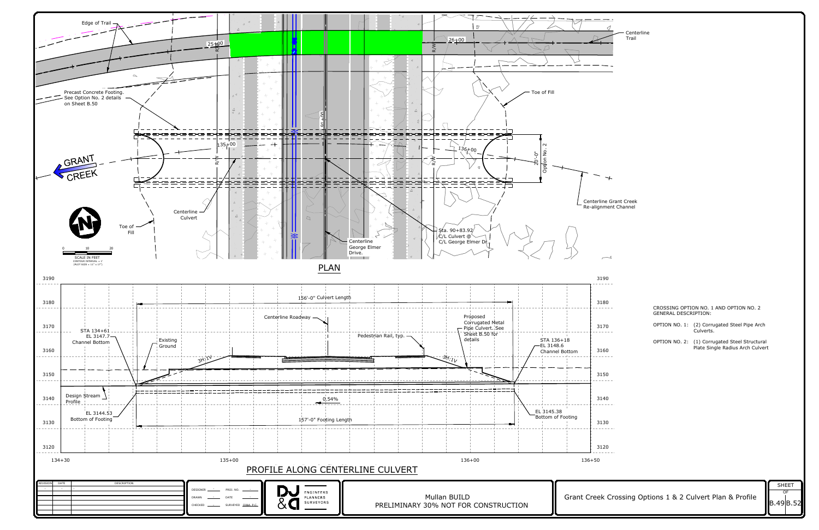

| $\overline{\phantom{0}}$<br><u>- -</u><br>◁<br>Centerline<br>Trail              |                      |                                                                                   |  |
|---------------------------------------------------------------------------------|----------------------|-----------------------------------------------------------------------------------|--|
| $\overline{\phantom{0}}$                                                        |                      |                                                                                   |  |
|                                                                                 |                      |                                                                                   |  |
| $\overline{\phantom{0}}$<br>line Grant Creek                                    |                      |                                                                                   |  |
| Inment Channel                                                                  |                      |                                                                                   |  |
| $\overbrace{\phantom{aaaaa}}^{\,}$<br>190                                       |                      |                                                                                   |  |
| 180                                                                             | GENERAL DESCRIPTION: | CROSSING OPTION NO. 1 AND OPTION NO. 2                                            |  |
| 170<br>$------$                                                                 |                      | OPTION NO. 1: (2) Corrugated Steel Pipe Arch<br>Culverts.                         |  |
| 160<br>$- - - - -$                                                              |                      | OPTION NO. 2: (1) Corrugated Steel Structural<br>Plate Single Radius Arch Culvert |  |
| 150                                                                             |                      |                                                                                   |  |
| 140<br>$------$<br>130                                                          |                      |                                                                                   |  |
| $\mathcal{L} = \mathcal{L} = \mathcal{L} = \mathcal{L}$<br>120<br>$--- - - - -$ |                      |                                                                                   |  |
|                                                                                 |                      |                                                                                   |  |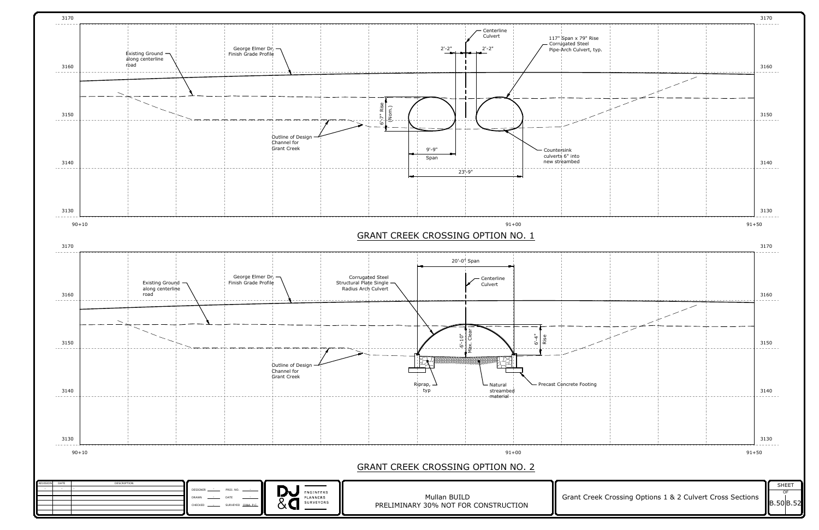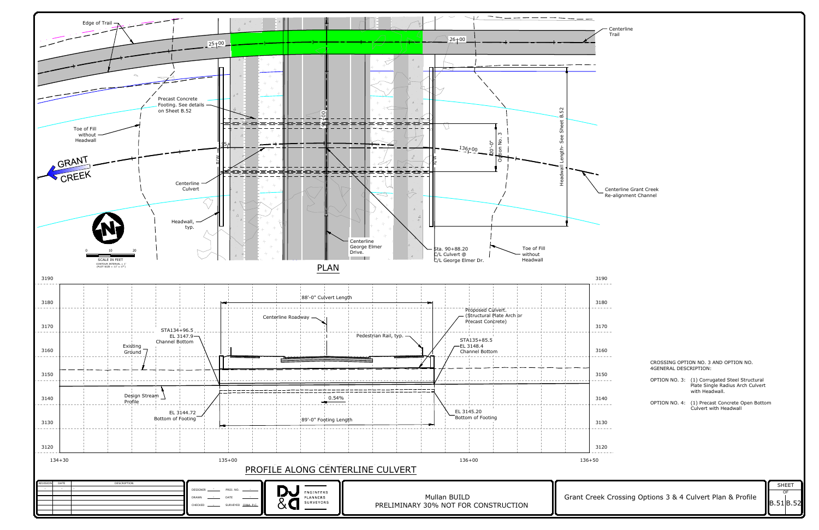

Centerline Grant Creek